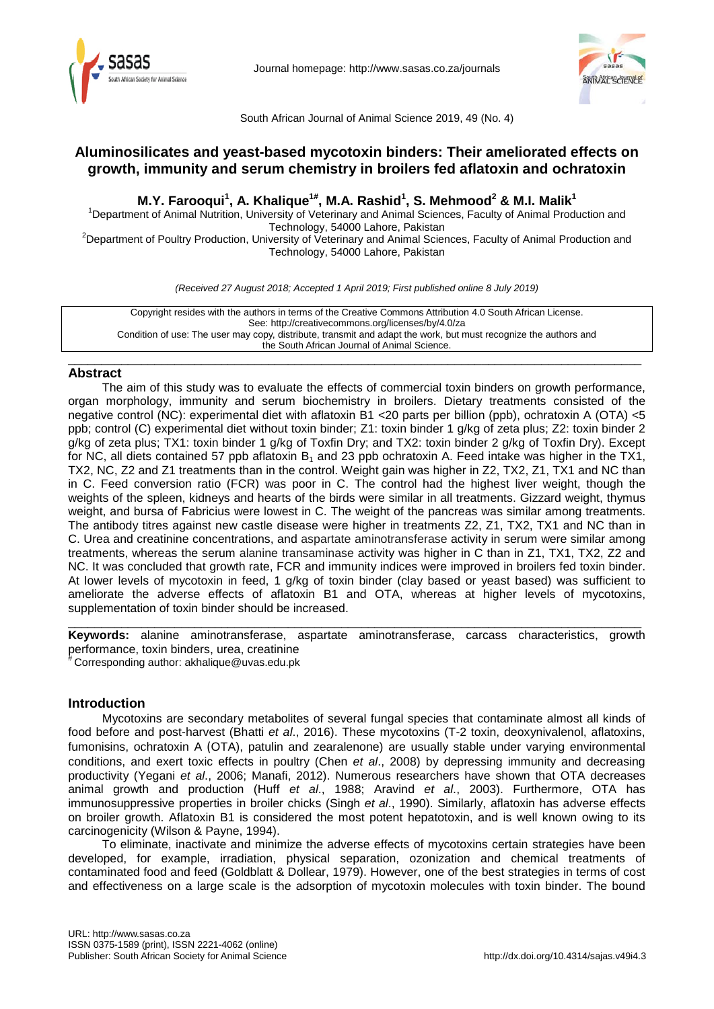



South African Journal of Animal Science 2019, 49 (No. 4)

# **Aluminosilicates and yeast-based mycotoxin binders: Their ameliorated effects on growth, immunity and serum chemistry in broilers fed aflatoxin and ochratoxin**

# **M.Y. Farooqui<sup>1</sup> , A. Khalique1#, M.A. Rashid1 , S. Mehmood2 & M.I. Malik1**

<sup>1</sup>Department of Animal Nutrition, University of Veterinary and Animal Sciences, Faculty of Animal Production and Technology, 54000 Lahore, Pakistan<br><sup>2</sup>Department of Poultry Production, University of Veterinary and Animal Sciences, Faculty of Animal Production and

Technology, 54000 Lahore, Pakistan

*(Received 27 August 2018; Accepted 1 April 2019; First published online 8 July 2019)*

\_\_\_\_\_\_\_\_\_\_\_\_\_\_\_\_\_\_\_\_\_\_\_\_\_\_\_\_\_\_\_\_\_\_\_\_\_\_\_\_\_\_\_\_\_\_\_\_\_\_\_\_\_\_\_\_\_\_\_\_\_\_\_\_\_\_\_\_\_\_\_\_\_\_\_\_\_\_\_\_\_\_\_\_\_\_

Copyright resides with the authors in terms of the Creative Commons Attribution 4.0 South African License. See: http://creativecommons.org/licenses/by/4.0/za Condition of use: The user may copy, distribute, transmit and adapt the work, but must recognize the authors and the South African Journal of Animal Science.

### **Abstract**

The aim of this study was to evaluate the effects of commercial toxin binders on growth performance, organ morphology, immunity and serum biochemistry in broilers. Dietary treatments consisted of the negative control (NC): experimental diet with aflatoxin B1 <20 parts per billion (ppb), ochratoxin A (OTA) <5 ppb; control (C) experimental diet without toxin binder; Z1: toxin binder 1 g/kg of zeta plus; Z2: toxin binder 2 g/kg of zeta plus; TX1: toxin binder 1 g/kg of Toxfin Dry; and TX2: toxin binder 2 g/kg of Toxfin Dry). Except for NC, all diets contained 57 ppb aflatoxin  $B_1$  and 23 ppb ochratoxin A. Feed intake was higher in the TX1, TX2, NC, Z2 and Z1 treatments than in the control. Weight gain was higher in Z2, TX2, Z1, TX1 and NC than in C. Feed conversion ratio (FCR) was poor in C. The control had the highest liver weight, though the weights of the spleen, kidneys and hearts of the birds were similar in all treatments. Gizzard weight, thymus weight, and bursa of Fabricius were lowest in C. The weight of the pancreas was similar among treatments. The antibody titres against new castle disease were higher in treatments Z2, Z1, TX2, TX1 and NC than in C. Urea and creatinine concentrations, and aspartate aminotransferase activity in serum were similar among treatments, whereas the serum alanine transaminase activity was higher in C than in Z1, TX1, TX2, Z2 and NC. It was concluded that growth rate, FCR and immunity indices were improved in broilers fed toxin binder. At lower levels of mycotoxin in feed, 1 g/kg of toxin binder (clay based or yeast based) was sufficient to ameliorate the adverse effects of aflatoxin B1 and OTA, whereas at higher levels of mycotoxins, supplementation of toxin binder should be increased.

**Keywords:** alanine aminotransferase, aspartate aminotransferase, carcass characteristics, growth performance, toxin binders, urea, creatinine # Corresponding author: akhalique@uvas.edu.pk

\_\_\_\_\_\_\_\_\_\_\_\_\_\_\_\_\_\_\_\_\_\_\_\_\_\_\_\_\_\_\_\_\_\_\_\_\_\_\_\_\_\_\_\_\_\_\_\_\_\_\_\_\_\_\_\_\_\_\_\_\_\_\_\_\_\_\_\_\_\_\_\_\_\_\_\_\_\_\_\_\_\_\_\_\_\_

**Introduction**

Mycotoxins are secondary metabolites of several fungal species that contaminate almost all kinds of food before and post-harvest (Bhatti *et al*., 2016). These mycotoxins (T-2 toxin, deoxynivalenol, aflatoxins, fumonisins, ochratoxin A (OTA), patulin and zearalenone) are usually stable under varying environmental conditions, and exert toxic effects in poultry (Chen *et al*., 2008) by depressing immunity and decreasing productivity (Yegani *et al*., 2006; Manafi, 2012). Numerous researchers have shown that OTA decreases animal growth and production (Huff *et al*., 1988; Aravind *et al*., 2003). Furthermore, OTA has immunosuppressive properties in broiler chicks (Singh *et al*., 1990). Similarly, aflatoxin has adverse effects on broiler growth. Aflatoxin B1 is considered the most potent hepatotoxin, and is well known owing to its carcinogenicity (Wilson & Payne, 1994).

To eliminate, inactivate and minimize the adverse effects of mycotoxins certain strategies have been developed, for example, irradiation, physical separation, ozonization and chemical treatments of contaminated food and feed (Goldblatt & Dollear, 1979). However, one of the best strategies in terms of cost and effectiveness on a large scale is the adsorption of mycotoxin molecules with toxin binder. The bound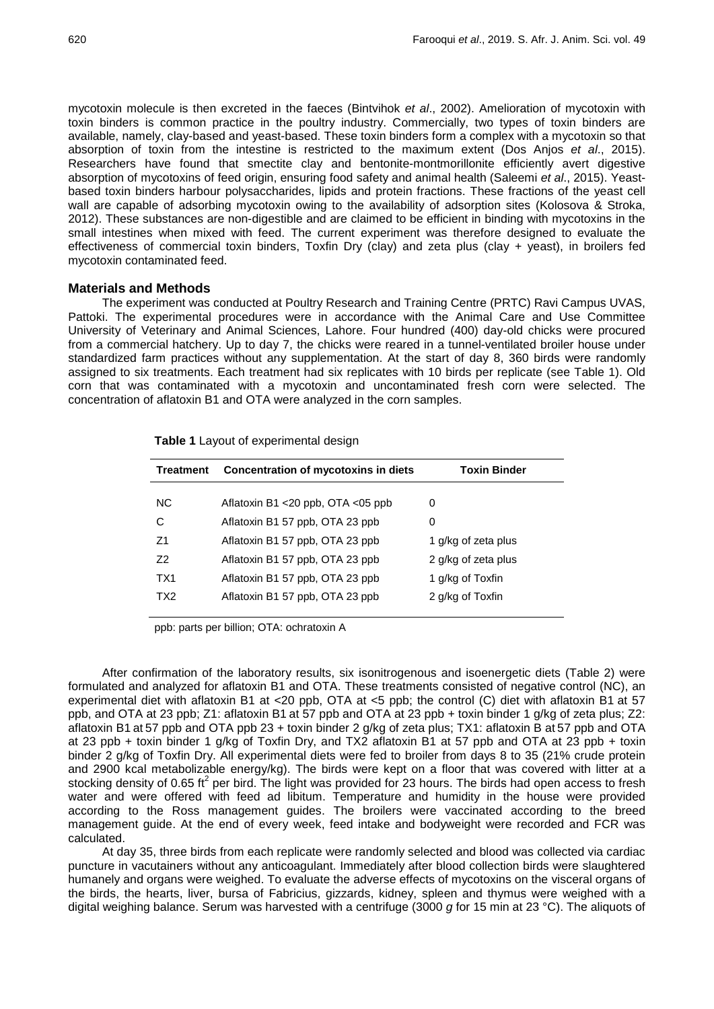mycotoxin molecule is then excreted in the faeces (Bintvihok *et al*., 2002). Amelioration of mycotoxin with toxin binders is common practice in the poultry industry. Commercially, two types of toxin binders are available, namely, clay-based and yeast-based. These toxin binders form a complex with a mycotoxin so that absorption of toxin from the intestine is restricted to the maximum extent (Dos Anjos *et al*., 2015). Researchers have found that smectite clay and bentonite-montmorillonite efficiently avert digestive absorption of mycotoxins of feed origin, ensuring food safety and animal health (Saleemi *et al*., 2015). Yeastbased toxin binders harbour polysaccharides, lipids and protein fractions. These fractions of the yeast cell wall are capable of adsorbing mycotoxin owing to the availability of adsorption sites (Kolosova & Stroka, 2012). These substances are non-digestible and are claimed to be efficient in binding with mycotoxins in the small intestines when mixed with feed. The current experiment was therefore designed to evaluate the effectiveness of commercial toxin binders, Toxfin Dry (clay) and zeta plus (clay + yeast), in broilers fed mycotoxin contaminated feed.

### **Materials and Methods**

The experiment was conducted at Poultry Research and Training Centre (PRTC) Ravi Campus UVAS, Pattoki. The experimental procedures were in accordance with the Animal Care and Use Committee University of Veterinary and Animal Sciences, Lahore. Four hundred (400) day-old chicks were procured from a commercial hatchery. Up to day 7, the chicks were reared in a tunnel-ventilated broiler house under standardized farm practices without any supplementation. At the start of day 8, 360 birds were randomly assigned to six treatments. Each treatment had six replicates with 10 birds per replicate (see Table 1). Old corn that was contaminated with a mycotoxin and uncontaminated fresh corn were selected. The concentration of aflatoxin B1 and OTA were analyzed in the corn samples.

| Treatment      | Concentration of mycotoxins in diets | <b>Toxin Binder</b> |
|----------------|--------------------------------------|---------------------|
| <b>NC</b>      | Aflatoxin B1 <20 ppb, OTA <05 ppb    | 0                   |
| С              | Aflatoxin B1 57 ppb, OTA 23 ppb      | 0                   |
| Z <sub>1</sub> | Aflatoxin B1 57 ppb, OTA 23 ppb      | 1 g/kg of zeta plus |
| 72             | Aflatoxin B1 57 ppb, OTA 23 ppb      | 2 g/kg of zeta plus |
| TX1            | Aflatoxin B1 57 ppb, OTA 23 ppb      | 1 g/kg of Toxfin    |
| TX2            | Aflatoxin B1 57 ppb, OTA 23 ppb      | 2 g/kg of Toxfin    |
|                |                                      |                     |

**Table 1** Layout of experimental design

ppb: parts per billion; OTA: ochratoxin A

After confirmation of the laboratory results, six isonitrogenous and isoenergetic diets (Table 2) were formulated and analyzed for aflatoxin B1 and OTA. These treatments consisted of negative control (NC), an experimental diet with aflatoxin B1 at <20 ppb, OTA at <5 ppb; the control (C) diet with aflatoxin B1 at 57 ppb, and OTA at 23 ppb; Z1: aflatoxin B1 at 57 ppb and OTA at 23 ppb + toxin binder 1 g/kg of zeta plus; Z2: aflatoxin B1 at 57 ppb and OTA ppb 23 + toxin binder 2 g/kg of zeta plus; TX1: aflatoxin B at 57 ppb and OTA at 23 ppb + toxin binder 1 g/kg of Toxfin Dry, and TX2 aflatoxin B1 at 57 ppb and OTA at 23 ppb + toxin binder 2 g/kg of Toxfin Dry. All experimental diets were fed to broiler from days 8 to 35 (21% crude protein and 2900 kcal metabolizable energy/kg). The birds were kept on a floor that was covered with litter at a stocking density of 0.65 ft<sup>2</sup> per bird. The light was provided for 23 hours. The birds had open access to fresh water and were offered with feed ad libitum. Temperature and humidity in the house were provided according to the Ross management guides. The broilers were vaccinated according to the breed management guide. At the end of every week, feed intake and bodyweight were recorded and FCR was calculated.

At day 35, three birds from each replicate were randomly selected and blood was collected via cardiac puncture in vacutainers without any anticoagulant. Immediately after blood collection birds were slaughtered humanely and organs were weighed. To evaluate the adverse effects of mycotoxins on the visceral organs of the birds, the hearts, liver, bursa of Fabricius, gizzards, kidney, spleen and thymus were weighed with a digital weighing balance. Serum was harvested with a centrifuge (3000 *g* for 15 min at 23 °C). The aliquots of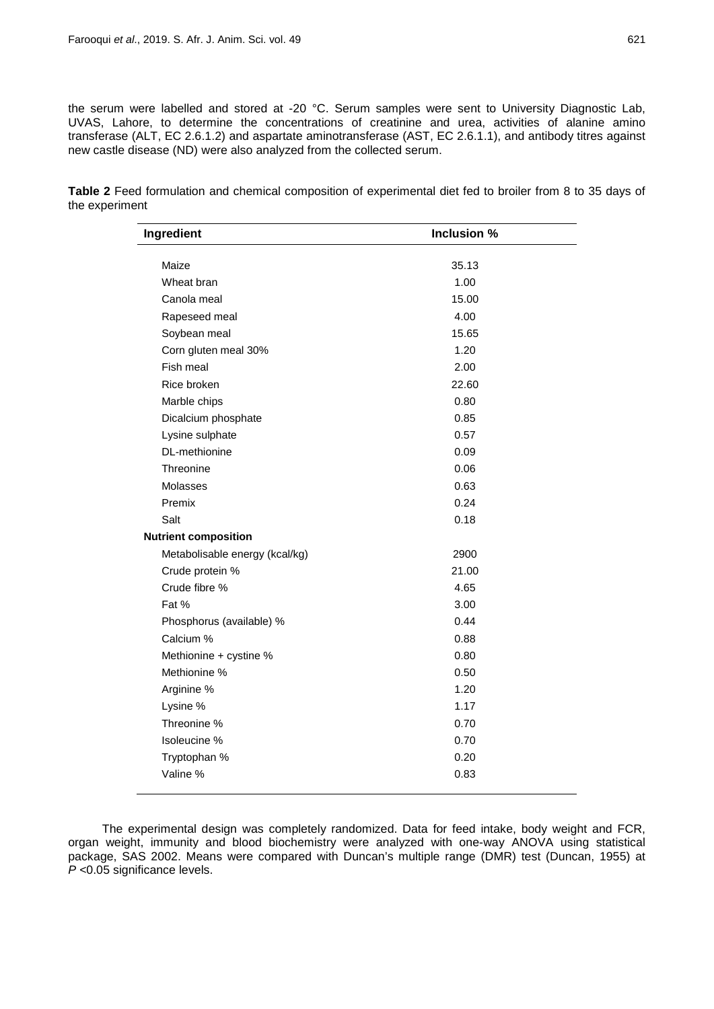the serum were labelled and stored at -20 °C. Serum samples were sent to University Diagnostic Lab, UVAS, Lahore, to determine the concentrations of creatinine and urea, activities of alanine amino transferase (ALT, EC 2.6.1.2) and aspartate aminotransferase (AST, EC 2.6.1.1), and antibody titres against new castle disease (ND) were also analyzed from the collected serum.

**Table 2** Feed formulation and chemical composition of experimental diet fed to broiler from 8 to 35 days of the experiment

| Ingredient                     | Inclusion % |
|--------------------------------|-------------|
|                                |             |
| Maize                          | 35.13       |
| Wheat bran                     | 1.00        |
| Canola meal                    | 15.00       |
| Rapeseed meal                  | 4.00        |
| Soybean meal                   | 15.65       |
| Corn gluten meal 30%           | 1.20        |
| Fish meal                      | 2.00        |
| Rice broken                    | 22.60       |
| Marble chips                   | 0.80        |
| Dicalcium phosphate            | 0.85        |
| Lysine sulphate                | 0.57        |
| DL-methionine                  | 0.09        |
| Threonine                      | 0.06        |
| Molasses                       | 0.63        |
| Premix                         | 0.24        |
| Salt                           | 0.18        |
| <b>Nutrient composition</b>    |             |
| Metabolisable energy (kcal/kg) | 2900        |
| Crude protein %                | 21.00       |
| Crude fibre %                  | 4.65        |
| Fat %                          | 3.00        |
| Phosphorus (available) %       | 0.44        |
| Calcium %                      | 0.88        |
| Methionine + cystine %         | 0.80        |
| Methionine %                   | 0.50        |
| Arginine %                     | 1.20        |
| Lysine %                       | 1.17        |
| Threonine %                    | 0.70        |
| Isoleucine %                   | 0.70        |
| Tryptophan %                   | 0.20        |
| Valine %                       | 0.83        |
|                                |             |

The experimental design was completely randomized. Data for feed intake, body weight and FCR, organ weight, immunity and blood biochemistry were analyzed with one-way ANOVA using statistical package, SAS 2002. Means were compared with Duncan's multiple range (DMR) test (Duncan, 1955) at *P <*0.05 significance levels.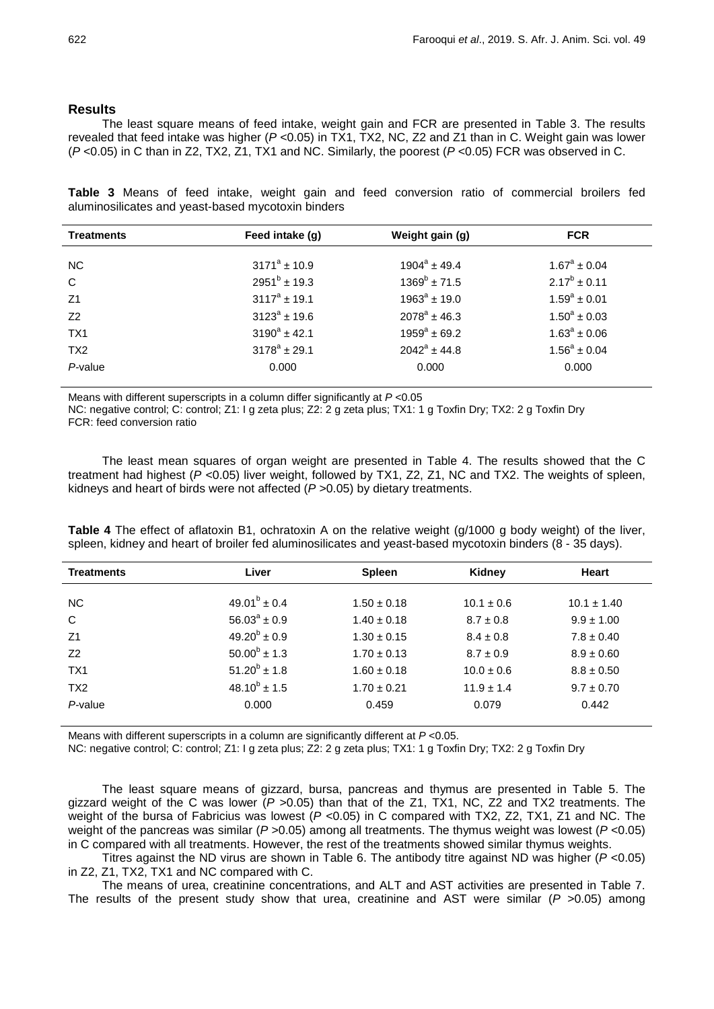## **Results**

The least square means of feed intake, weight gain and FCR are presented in Table 3. The results revealed that feed intake was higher (*P* <0.05) in TX1, TX2, NC, Z2 and Z1 than in C. Weight gain was lower (*P* <0.05) in C than in Z2, TX2, Z1, TX1 and NC. Similarly, the poorest (*P* <0.05) FCR was observed in C.

**Table 3** Means of feed intake, weight gain and feed conversion ratio of commercial broilers fed aluminosilicates and yeast-based mycotoxin binders

| <b>Treatments</b> | Feed intake (g)   | Weight gain (g)   | <b>FCR</b>        |
|-------------------|-------------------|-------------------|-------------------|
| NC.               | $3171^a \pm 10.9$ | $1904^a \pm 49.4$ | $1.67^a \pm 0.04$ |
| C                 | $2951^{b}$ ± 19.3 | $1369^b \pm 71.5$ | $2.17^b \pm 0.11$ |
| Z <sub>1</sub>    | $3117^a \pm 19.1$ | $1963^a \pm 19.0$ | $1.59^a \pm 0.01$ |
| Z <sub>2</sub>    | $3123^a \pm 19.6$ | $2078^a \pm 46.3$ | $1.50^a \pm 0.03$ |
| TX <sub>1</sub>   | $3190^a \pm 42.1$ | $1959^a \pm 69.2$ | $1.63^a \pm 0.06$ |
| TX <sub>2</sub>   | $3178^a \pm 29.1$ | $2042^a \pm 44.8$ | $1.56^a \pm 0.04$ |
| $P$ -value        | 0.000             | 0.000             | 0.000             |

Means with different superscripts in a column differ significantly at *P* <0.05

NC: negative control; C: control; Z1: I g zeta plus; Z2: 2 g zeta plus; TX1: 1 g Toxfin Dry; TX2: 2 g Toxfin Dry FCR: feed conversion ratio

The least mean squares of organ weight are presented in Table 4. The results showed that the C treatment had highest (*P* <0.05) liver weight, followed by TX1, Z2, Z1, NC and TX2. The weights of spleen, kidneys and heart of birds were not affected (*P* >0.05) by dietary treatments.

**Table 4** The effect of aflatoxin B1, ochratoxin A on the relative weight (g/1000 g body weight) of the liver, spleen, kidney and heart of broiler fed aluminosilicates and yeast-based mycotoxin binders (8 - 35 days).

| <b>Treatments</b> | Liver                   | <b>Spleen</b>   | Kidney         | <b>Heart</b>    |
|-------------------|-------------------------|-----------------|----------------|-----------------|
|                   | $49.01^b \pm 0.4$       |                 |                |                 |
| NC.               |                         | $1.50 \pm 0.18$ | $10.1 \pm 0.6$ | $10.1 \pm 1.40$ |
| C                 | $56.03^{\circ} \pm 0.9$ | $1.40 \pm 0.18$ | $8.7 \pm 0.8$  | $9.9 \pm 1.00$  |
| Z <sub>1</sub>    | $49.20^{b} \pm 0.9$     | $1.30 \pm 0.15$ | $8.4 \pm 0.8$  | $7.8 \pm 0.40$  |
| Z <sub>2</sub>    | $50.00^b \pm 1.3$       | $1.70 \pm 0.13$ | $8.7 \pm 0.9$  | $8.9 \pm 0.60$  |
| TX1               | $51.20^b \pm 1.8$       | $1.60 \pm 0.18$ | $10.0 \pm 0.6$ | $8.8 \pm 0.50$  |
| TX <sub>2</sub>   | $48.10^{b} \pm 1.5$     | $1.70 \pm 0.21$ | $11.9 \pm 1.4$ | $9.7 \pm 0.70$  |
| $P$ -value        | 0.000                   | 0.459           | 0.079          | 0.442           |

Means with different superscripts in a column are significantly different at *P* <0.05.

NC: negative control; C: control; Z1: I g zeta plus; Z2: 2 g zeta plus; TX1: 1 g Toxfin Dry; TX2: 2 g Toxfin Dry

The least square means of gizzard, bursa, pancreas and thymus are presented in Table 5. The gizzard weight of the C was lower  $(P > 0.05)$  than that of the Z1, TX1, NC, Z2 and TX2 treatments. The weight of the bursa of Fabricius was lowest ( $P$  <0.05) in C compared with TX2, Z2, TX1, Z1 and NC. The weight of the pancreas was similar (*P* >0.05) among all treatments. The thymus weight was lowest (*P* <0.05) in C compared with all treatments. However, the rest of the treatments showed similar thymus weights.

Titres against the ND virus are shown in Table 6. The antibody titre against ND was higher (*P* <0.05) in Z2, Z1, TX2, TX1 and NC compared with C.

The means of urea, creatinine concentrations, and ALT and AST activities are presented in Table 7. The results of the present study show that urea, creatinine and AST were similar (*P* >0.05) among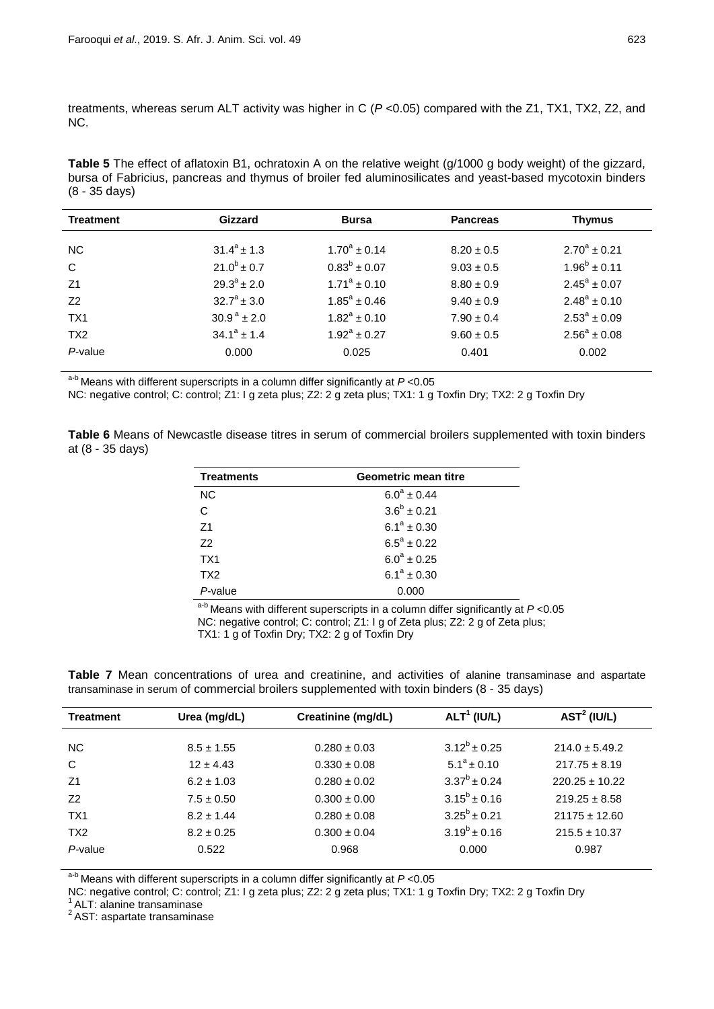treatments, whereas serum ALT activity was higher in C (*P* <0.05) compared with the Z1, TX1, TX2, Z2, and NC.

**Table 5** The effect of aflatoxin B1, ochratoxin A on the relative weight (g/1000 g body weight) of the gizzard, bursa of Fabricius, pancreas and thymus of broiler fed aluminosilicates and yeast-based mycotoxin binders (8 - 35 days)

| <b>Treatment</b> | Gizzard                   | <b>Bursa</b>        | <b>Pancreas</b> | <b>Thymus</b>           |
|------------------|---------------------------|---------------------|-----------------|-------------------------|
| NC.              | $31.4^a \pm 1.3$          | $1.70^a \pm 0.14$   | $8.20 \pm 0.5$  | $2.70^a \pm 0.21$       |
| C                | $21.0^b \pm 0.7$          | $0.83^{b} \pm 0.07$ | $9.03 \pm 0.5$  | $1.96^b \pm 0.11$       |
| Z1               | $29.3^{\circ}$ ± 2.0      | $1.71^a \pm 0.10$   | $8.80 \pm 0.9$  | $2.45^{\circ} \pm 0.07$ |
| Z <sub>2</sub>   | $32.7^{\circ}$ ± 3.0      | $1.85^a \pm 0.46$   | $9.40 \pm 0.9$  | $2.48^a \pm 0.10$       |
| TX <sub>1</sub>  | $30.9^{\text{a}} \pm 2.0$ | $1.82^a \pm 0.10$   | $7.90 \pm 0.4$  | $2.53^{\circ} \pm 0.09$ |
| TX <sub>2</sub>  | $34.1^a \pm 1.4$          | $1.92^a \pm 0.27$   | $9.60 \pm 0.5$  | $2.56^a \pm 0.08$       |
| $P$ -value       | 0.000                     | 0.025               | 0.401           | 0.002                   |

a-b Means with different superscripts in a column differ significantly at *P* <0.05

NC: negative control; C: control; Z1: I g zeta plus; Z2: 2 g zeta plus; TX1: 1 g Toxfin Dry; TX2: 2 g Toxfin Dry

**Table 6** Means of Newcastle disease titres in serum of commercial broilers supplemented with toxin binders at (8 - 35 days)

| Geometric mean titre<br><b>Treatments</b> |                  |  |
|-------------------------------------------|------------------|--|
| <b>NC</b>                                 | $6.0^a \pm 0.44$ |  |
| C                                         | $3.6^b \pm 0.21$ |  |
| Z <sub>1</sub>                            | $6.1^a \pm 0.30$ |  |
| 72                                        | $6.5^a \pm 0.22$ |  |
| TX <sub>1</sub>                           | $6.0^a \pm 0.25$ |  |
| TX <sub>2</sub>                           | $6.1^a \pm 0.30$ |  |
| P-value                                   | 0.000            |  |

a-b Means with different superscripts in a column differ significantly at *P* <0.05 NC: negative control; C: control; Z1: I g of Zeta plus; Z2: 2 g of Zeta plus; TX1: 1 g of Toxfin Dry; TX2: 2 g of Toxfin Dry

**Table 7** Mean concentrations of urea and creatinine, and activities of alanine transaminase and aspartate transaminase in serum of commercial broilers supplemented with toxin binders (8 - 35 days)

| <b>Treatment</b> | Urea (mg/dL)   | Creatinine (mg/dL) | ALT <sup>1</sup> (IUL) | AST <sup>2</sup> (IUL) |
|------------------|----------------|--------------------|------------------------|------------------------|
| NC.              | $8.5 \pm 1.55$ | $0.280 \pm 0.03$   | $3.12^b \pm 0.25$      | $214.0 \pm 5.49.2$     |
| C                | $12 \pm 4.43$  | $0.330 \pm 0.08$   | $5.1^a \pm 0.10$       | $217.75 \pm 8.19$      |
| Z <sub>1</sub>   | $6.2 \pm 1.03$ | $0.280 \pm 0.02$   | $3.37^b \pm 0.24$      | $220.25 \pm 10.22$     |
| Z <sub>2</sub>   | $7.5 \pm 0.50$ | $0.300 \pm 0.00$   | $3.15^b \pm 0.16$      | $219.25 \pm 8.58$      |
| TX <sub>1</sub>  | $8.2 \pm 1.44$ | $0.280 \pm 0.08$   | $3.25^b \pm 0.21$      | $21175 \pm 12.60$      |
| TX <sub>2</sub>  | $8.2 \pm 0.25$ | $0.300 \pm 0.04$   | $3.19^{b} \pm 0.16$    | $215.5 \pm 10.37$      |
| P-value          | 0.522          | 0.968              | 0.000                  | 0.987                  |

a-b Means with different superscripts in a column differ significantly at *P* <0.05

NC: negative control; C: control; Z1: I g zeta plus; Z2: 2 g zeta plus; TX1: 1 g Toxfin Dry; TX2: 2 g Toxfin Dry <sup>1</sup> ALT: alanine transaminase <sup>2</sup> AST: aspartate transaminase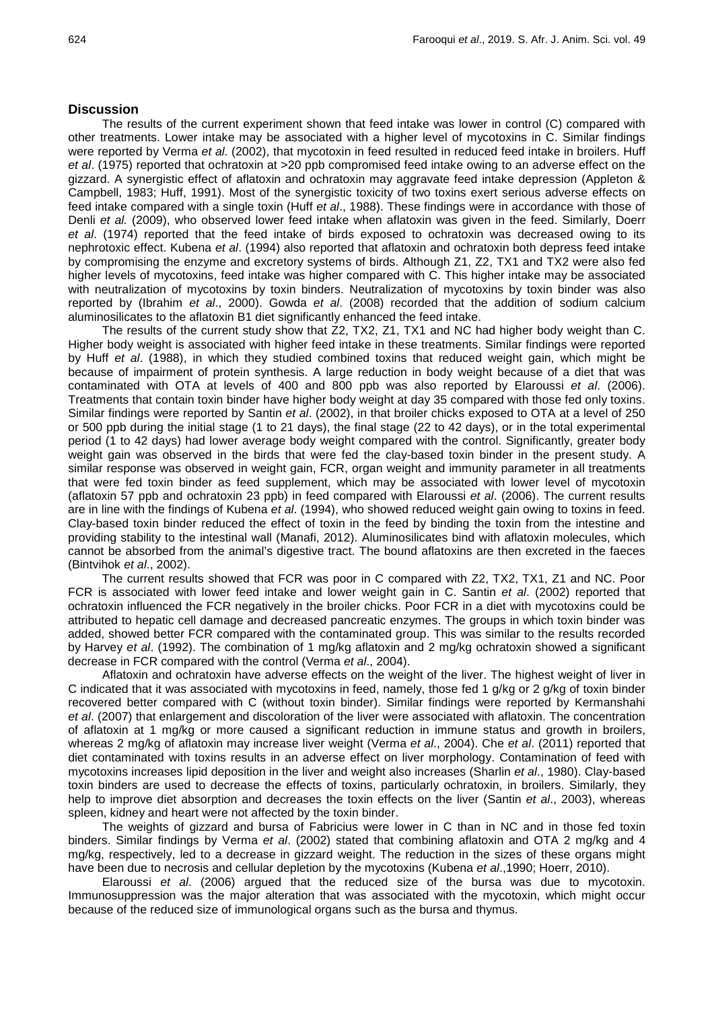## **Discussion**

The results of the current experiment shown that feed intake was lower in control (C) compared with other treatments. Lower intake may be associated with a higher level of mycotoxins in C. Similar findings were reported by Verma *et al*. (2002), that mycotoxin in feed resulted in reduced feed intake in broilers. Huff *et al*. (1975) reported that ochratoxin at >20 ppb compromised feed intake owing to an adverse effect on the gizzard. A synergistic effect of aflatoxin and ochratoxin may aggravate feed intake depression (Appleton & Campbell, 1983; Huff, 1991). Most of the synergistic toxicity of two toxins exert serious adverse effects on feed intake compared with a single toxin (Huff *et al*., 1988). These findings were in accordance with those of Denli *et al.* (2009), who observed lower feed intake when aflatoxin was given in the feed. Similarly, Doerr *et al*. (1974) reported that the feed intake of birds exposed to ochratoxin was decreased owing to its nephrotoxic effect. Kubena *et al*. (1994) also reported that aflatoxin and ochratoxin both depress feed intake by compromising the enzyme and excretory systems of birds. Although Z1, Z2, TX1 and TX2 were also fed higher levels of mycotoxins, feed intake was higher compared with C. This higher intake may be associated with neutralization of mycotoxins by toxin binders. Neutralization of mycotoxins by toxin binder was also reported by (Ibrahim *et al*., 2000). Gowda *et al*. (2008) recorded that the addition of sodium calcium aluminosilicates to the aflatoxin B1 diet significantly enhanced the feed intake.

The results of the current study show that Z2, TX2, Z1, TX1 and NC had higher body weight than C. Higher body weight is associated with higher feed intake in these treatments. Similar findings were reported by Huff *et al*. (1988), in which they studied combined toxins that reduced weight gain, which might be because of impairment of protein synthesis. A large reduction in body weight because of a diet that was contaminated with OTA at levels of 400 and 800 ppb was also reported by Elaroussi *et al*. (2006). Treatments that contain toxin binder have higher body weight at day 35 compared with those fed only toxins. Similar findings were reported by Santin *et al*. (2002), in that broiler chicks exposed to OTA at a level of 250 or 500 ppb during the initial stage (1 to 21 days), the final stage (22 to 42 days), or in the total experimental period (1 to 42 days) had lower average body weight compared with the control. Significantly, greater body weight gain was observed in the birds that were fed the clay-based toxin binder in the present study. A similar response was observed in weight gain, FCR, organ weight and immunity parameter in all treatments that were fed toxin binder as feed supplement, which may be associated with lower level of mycotoxin (aflatoxin 57 ppb and ochratoxin 23 ppb) in feed compared with Elaroussi *et al*. (2006). The current results are in line with the findings of Kubena *et al*. (1994), who showed reduced weight gain owing to toxins in feed. Clay-based toxin binder reduced the effect of toxin in the feed by binding the toxin from the intestine and providing stability to the intestinal wall (Manafi, 2012). Aluminosilicates bind with aflatoxin molecules, which cannot be absorbed from the animal's digestive tract. The bound aflatoxins are then excreted in the faeces (Bintvihok *et al*., 2002).

The current results showed that FCR was poor in C compared with Z2, TX2, TX1, Z1 and NC. Poor FCR is associated with lower feed intake and lower weight gain in C. Santin *et al*. (2002) reported that ochratoxin influenced the FCR negatively in the broiler chicks. Poor FCR in a diet with mycotoxins could be attributed to hepatic cell damage and decreased pancreatic enzymes. The groups in which toxin binder was added, showed better FCR compared with the contaminated group. This was similar to the results recorded by Harvey *et al*. (1992). The combination of 1 mg/kg aflatoxin and 2 mg/kg ochratoxin showed a significant decrease in FCR compared with the control (Verma *et al*., 2004).

Aflatoxin and ochratoxin have adverse effects on the weight of the liver. The highest weight of liver in C indicated that it was associated with mycotoxins in feed, namely, those fed 1 g/kg or 2 g/kg of toxin binder recovered better compared with C (without toxin binder). Similar findings were reported by Kermanshahi *et al*. (2007) that enlargement and discoloration of the liver were associated with aflatoxin. The concentration of aflatoxin at 1 mg/kg or more caused a significant reduction in immune status and growth in broilers, whereas 2 mg/kg of aflatoxin may increase liver weight (Verma *et al*., 2004). Che *et al*. (2011) reported that diet contaminated with toxins results in an adverse effect on liver morphology. Contamination of feed with mycotoxins increases lipid deposition in the liver and weight also increases (Sharlin *et al*., 1980). Clay-based toxin binders are used to decrease the effects of toxins, particularly ochratoxin, in broilers. Similarly, they help to improve diet absorption and decreases the toxin effects on the liver (Santin *et al*., 2003), whereas spleen, kidney and heart were not affected by the toxin binder.

The weights of gizzard and bursa of Fabricius were lower in C than in NC and in those fed toxin binders. Similar findings by Verma *et al*. (2002) stated that combining aflatoxin and OTA 2 mg/kg and 4 mg/kg, respectively, led to a decrease in gizzard weight. The reduction in the sizes of these organs might have been due to necrosis and cellular depletion by the mycotoxins (Kubena *et al*.,1990; Hoerr, 2010).

Elaroussi *et al*. (2006) argued that the reduced size of the bursa was due to mycotoxin. Immunosuppression was the major alteration that was associated with the mycotoxin, which might occur because of the reduced size of immunological organs such as the bursa and thymus.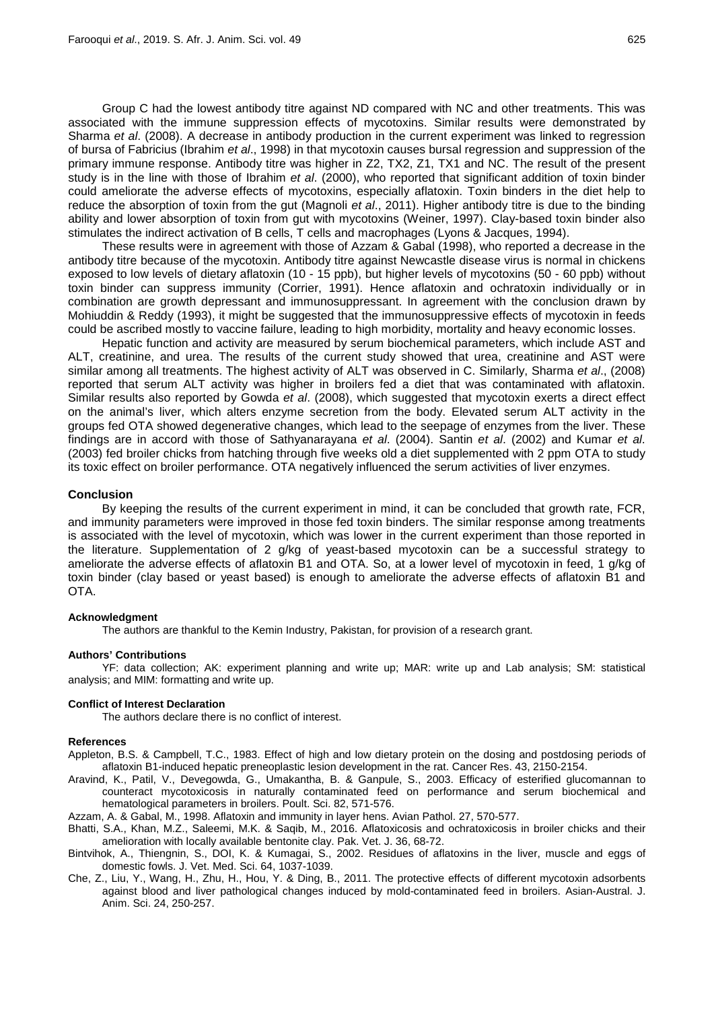Group C had the lowest antibody titre against ND compared with NC and other treatments. This was associated with the immune suppression effects of mycotoxins. Similar results were demonstrated by Sharma *et al*. (2008). A decrease in antibody production in the current experiment was linked to regression of bursa of Fabricius (Ibrahim *et al*., 1998) in that mycotoxin causes bursal regression and suppression of the primary immune response. Antibody titre was higher in Z2, TX2, Z1, TX1 and NC. The result of the present study is in the line with those of Ibrahim *et al*. (2000), who reported that significant addition of toxin binder could ameliorate the adverse effects of mycotoxins, especially aflatoxin. Toxin binders in the diet help to reduce the absorption of toxin from the gut (Magnoli *et al*., 2011). Higher antibody titre is due to the binding ability and lower absorption of toxin from gut with mycotoxins (Weiner, 1997). Clay-based toxin binder also stimulates the indirect activation of B cells, T cells and macrophages (Lyons & Jacques, 1994).

These results were in agreement with those of Azzam & Gabal (1998), who reported a decrease in the antibody titre because of the mycotoxin. Antibody titre against Newcastle disease virus is normal in chickens exposed to low levels of dietary aflatoxin (10 - 15 ppb), but higher levels of mycotoxins (50 - 60 ppb) without toxin binder can suppress immunity (Corrier, 1991). Hence aflatoxin and ochratoxin individually or in combination are growth depressant and immunosuppressant. In agreement with the conclusion drawn by Mohiuddin & Reddy (1993), it might be suggested that the immunosuppressive effects of mycotoxin in feeds could be ascribed mostly to vaccine failure, leading to high morbidity, mortality and heavy economic losses.

Hepatic function and activity are measured by serum biochemical parameters, which include AST and ALT, creatinine, and urea. The results of the current study showed that urea, creatinine and AST were similar among all treatments. The highest activity of ALT was observed in C. Similarly, Sharma *et al*., (2008) reported that serum ALT activity was higher in broilers fed a diet that was contaminated with aflatoxin. Similar results also reported by Gowda *et al*. (2008), which suggested that mycotoxin exerts a direct effect on the animal's liver, which alters enzyme secretion from the body. Elevated serum ALT activity in the groups fed OTA showed degenerative changes, which lead to the seepage of enzymes from the liver. These findings are in accord with those of Sathyanarayana *et al*. (2004). Santin *et al*. (2002) and Kumar *et al*. (2003) fed broiler chicks from hatching through five weeks old a diet supplemented with 2 ppm OTA to study its toxic effect on broiler performance. OTA negatively influenced the serum activities of liver enzymes.

#### **Conclusion**

By keeping the results of the current experiment in mind, it can be concluded that growth rate, FCR, and immunity parameters were improved in those fed toxin binders. The similar response among treatments is associated with the level of mycotoxin, which was lower in the current experiment than those reported in the literature. Supplementation of 2 g/kg of yeast-based mycotoxin can be a successful strategy to ameliorate the adverse effects of aflatoxin B1 and OTA. So, at a lower level of mycotoxin in feed, 1 g/kg of toxin binder (clay based or yeast based) is enough to ameliorate the adverse effects of aflatoxin B1 and OTA.

#### **Acknowledgment**

The authors are thankful to the Kemin Industry, Pakistan, for provision of a research grant.

#### **Authors' Contributions**

YF: data collection; AK: experiment planning and write up; MAR: write up and Lab analysis; SM: statistical analysis; and MIM: formatting and write up.

#### **Conflict of Interest Declaration**

The authors declare there is no conflict of interest.

#### **References**

- Appleton, B.S. & Campbell, T.C., 1983. Effect of high and low dietary protein on the dosing and postdosing periods of aflatoxin B1-induced hepatic preneoplastic lesion development in the rat. Cancer Res. 43, 2150-2154.
- Aravind, K., Patil, V., Devegowda, G., Umakantha, B. & Ganpule, S., 2003. Efficacy of esterified glucomannan to counteract mycotoxicosis in naturally contaminated feed on performance and serum biochemical and hematological parameters in broilers. Poult. Sci. 82, 571-576.

Azzam, A. & Gabal, M., 1998. Aflatoxin and immunity in layer hens. Avian Pathol. 27, 570-577.

- Bhatti, S.A., Khan, M.Z., Saleemi, M.K. & Saqib, M., 2016. Aflatoxicosis and ochratoxicosis in broiler chicks and their amelioration with locally available bentonite clay. Pak. Vet. J. 36, 68-72.
- Bintvihok, A., Thiengnin, S., DOI, K. & Kumagai, S., 2002. Residues of aflatoxins in the liver, muscle and eggs of domestic fowls. J. Vet. Med. Sci. 64, 1037-1039.
- Che, Z., Liu, Y., Wang, H., Zhu, H., Hou, Y. & Ding, B., 2011. The protective effects of different mycotoxin adsorbents against blood and liver pathological changes induced by mold-contaminated feed in broilers. Asian-Austral. J. Anim. Sci. 24, 250-257.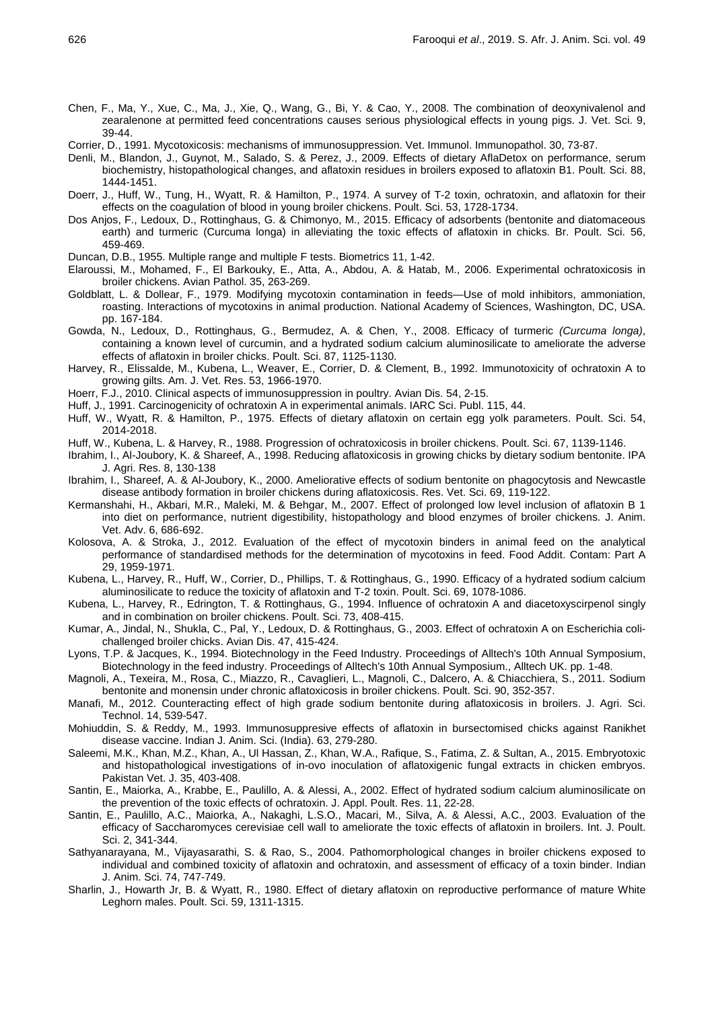- Chen, F., Ma, Y., Xue, C., Ma, J., Xie, Q., Wang, G., Bi, Y. & Cao, Y., 2008. The combination of deoxynivalenol and zearalenone at permitted feed concentrations causes serious physiological effects in young pigs. J. Vet. Sci. 9, 39-44.
- Corrier, D., 1991. Mycotoxicosis: mechanisms of immunosuppression. Vet. Immunol. Immunopathol. 30, 73-87.
- Denli, M., Blandon, J., Guynot, M., Salado, S. & Perez, J., 2009. Effects of dietary AflaDetox on performance, serum biochemistry, histopathological changes, and aflatoxin residues in broilers exposed to aflatoxin B1. Poult. Sci. 88, 1444-1451.
- Doerr, J., Huff, W., Tung, H., Wyatt, R. & Hamilton, P., 1974. A survey of T-2 toxin, ochratoxin, and aflatoxin for their effects on the coagulation of blood in young broiler chickens. Poult. Sci. 53, 1728-1734.
- Dos Anjos, F., Ledoux, D., Rottinghaus, G. & Chimonyo, M., 2015. Efficacy of adsorbents (bentonite and diatomaceous earth) and turmeric (Curcuma longa) in alleviating the toxic effects of aflatoxin in chicks. Br. Poult. Sci. 56, 459-469.
- Duncan, D.B., 1955. Multiple range and multiple F tests. Biometrics 11, 1-42.
- Elaroussi, M., Mohamed, F., El Barkouky, E., Atta, A., Abdou, A. & Hatab, M., 2006. Experimental ochratoxicosis in broiler chickens. Avian Pathol. 35, 263-269.
- Goldblatt, L. & Dollear, F., 1979. Modifying mycotoxin contamination in feeds—Use of mold inhibitors, ammoniation, roasting. Interactions of mycotoxins in animal production. National Academy of Sciences, Washington, DC, USA. pp. 167-184.
- Gowda, N., Ledoux, D., Rottinghaus, G., Bermudez, A. & Chen, Y., 2008. Efficacy of turmeric *(Curcuma longa)*, containing a known level of curcumin, and a hydrated sodium calcium aluminosilicate to ameliorate the adverse effects of aflatoxin in broiler chicks. Poult. Sci. 87, 1125-1130.
- Harvey, R., Elissalde, M., Kubena, L., Weaver, E., Corrier, D. & Clement, B., 1992. Immunotoxicity of ochratoxin A to growing gilts. Am. J. Vet. Res. 53, 1966-1970.
- Hoerr, F.J., 2010. Clinical aspects of immunosuppression in poultry. Avian Dis. 54, 2-15.
- Huff, J., 1991. Carcinogenicity of ochratoxin A in experimental animals. IARC Sci. Publ. 115, 44.
- Huff, W., Wyatt, R. & Hamilton, P., 1975. Effects of dietary aflatoxin on certain egg yolk parameters. Poult. Sci. 54, 2014-2018.
- Huff, W., Kubena, L. & Harvey, R., 1988. Progression of ochratoxicosis in broiler chickens. Poult. Sci. 67, 1139-1146.
- Ibrahim, I., Al-Joubory, K. & Shareef, A., 1998. Reducing aflatoxicosis in growing chicks by dietary sodium bentonite. IPA J. Agri. Res. 8, 130-138
- Ibrahim, I., Shareef, A. & Al-Joubory, K., 2000. Ameliorative effects of sodium bentonite on phagocytosis and Newcastle disease antibody formation in broiler chickens during aflatoxicosis. Res. Vet. Sci. 69, 119-122.
- Kermanshahi, H., Akbari, M.R., Maleki, M. & Behgar, M., 2007. Effect of prolonged low level inclusion of aflatoxin B 1 into diet on performance, nutrient digestibility, histopathology and blood enzymes of broiler chickens. J. Anim. Vet. Adv. 6, 686-692.
- Kolosova, A. & Stroka, J., 2012. Evaluation of the effect of mycotoxin binders in animal feed on the analytical performance of standardised methods for the determination of mycotoxins in feed. Food Addit. Contam: Part A 29, 1959-1971.
- Kubena, L., Harvey, R., Huff, W., Corrier, D., Phillips, T. & Rottinghaus, G., 1990. Efficacy of a hydrated sodium calcium aluminosilicate to reduce the toxicity of aflatoxin and T-2 toxin. Poult. Sci. 69, 1078-1086.
- Kubena, L., Harvey, R., Edrington, T. & Rottinghaus, G., 1994. Influence of ochratoxin A and diacetoxyscirpenol singly and in combination on broiler chickens. Poult. Sci. 73, 408-415.
- Kumar, A., Jindal, N., Shukla, C., Pal, Y., Ledoux, D. & Rottinghaus, G., 2003. Effect of ochratoxin A on Escherichia colichallenged broiler chicks. Avian Dis. 47, 415-424.
- Lyons, T.P. & Jacques, K., 1994. Biotechnology in the Feed Industry. Proceedings of Alltech's 10th Annual Symposium, Biotechnology in the feed industry. Proceedings of Alltech's 10th Annual Symposium., Alltech UK. pp. 1-48.
- Magnoli, A., Texeira, M., Rosa, C., Miazzo, R., Cavaglieri, L., Magnoli, C., Dalcero, A. & Chiacchiera, S., 2011. Sodium bentonite and monensin under chronic aflatoxicosis in broiler chickens. Poult. Sci. 90, 352-357.
- Manafi, M., 2012. Counteracting effect of high grade sodium bentonite during aflatoxicosis in broilers. J. Agri. Sci. Technol. 14, 539-547.
- Mohiuddin, S. & Reddy, M., 1993. Immunosuppresive effects of aflatoxin in bursectomised chicks against Ranikhet disease vaccine. Indian J. Anim. Sci. (India). 63, 279-280.
- Saleemi, M.K., Khan, M.Z., Khan, A., Ul Hassan, Z., Khan, W.A., Rafique, S., Fatima, Z. & Sultan, A., 2015. Embryotoxic and histopathological investigations of in-ovo inoculation of aflatoxigenic fungal extracts in chicken embryos. Pakistan Vet. J. 35, 403-408.
- Santin, E., Maiorka, A., Krabbe, E., Paulillo, A. & Alessi, A., 2002. Effect of hydrated sodium calcium aluminosilicate on the prevention of the toxic effects of ochratoxin. J. Appl. Poult. Res. 11, 22-28.
- Santin, E., Paulillo, A.C., Maiorka, A., Nakaghi, L.S.O., Macari, M., Silva, A. & Alessi, A.C., 2003. Evaluation of the efficacy of Saccharomyces cerevisiae cell wall to ameliorate the toxic effects of aflatoxin in broilers. Int. J. Poult. Sci. 2, 341-344.
- Sathyanarayana, M., Vijayasarathi, S. & Rao, S., 2004. Pathomorphological changes in broiler chickens exposed to individual and combined toxicity of aflatoxin and ochratoxin, and assessment of efficacy of a toxin binder. Indian J. Anim. Sci. 74, 747-749.
- Sharlin, J., Howarth Jr, B. & Wyatt, R., 1980. Effect of dietary aflatoxin on reproductive performance of mature White Leghorn males. Poult. Sci. 59, 1311-1315.